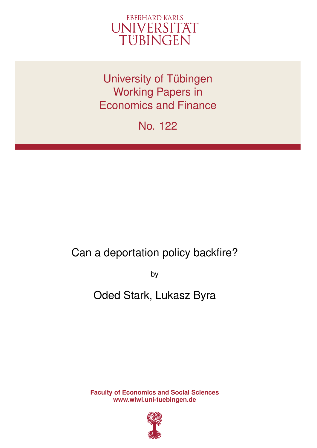

University of Tübingen Working Papers in Economics and Finance

No. 122

# Can a deportation policy backfire?

by

# Oded Stark, Lukasz Byra

**Faculty of Economics and Social Sciences www.wiwi.uni-tuebingen.de**

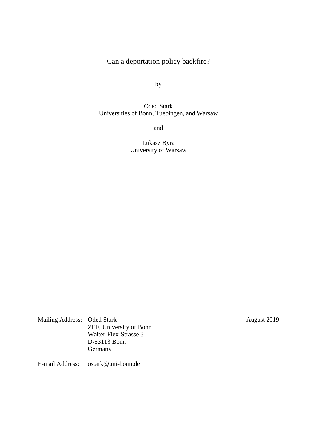Can a deportation policy backfire?

by

Oded Stark Universities of Bonn, Tuebingen, and Warsaw

and

Lukasz Byra University of Warsaw

Mailing Address: Oded Stark August 2019 ZEF, University of Bonn Walter-Flex-Strasse 3 D-53113 Bonn Germany

E-mail Address: [ostark@uni-bonn.de](mailto:ostark@uni-bonn.de)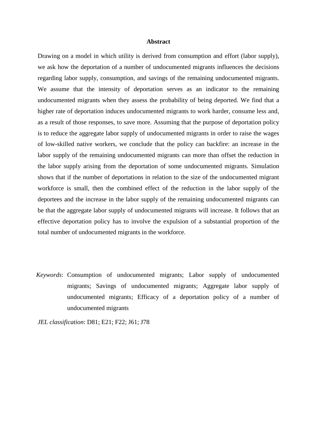#### **Abstract**

Drawing on a model in which utility is derived from consumption and effort (labor supply), we ask how the deportation of a number of undocumented migrants influences the decisions regarding labor supply, consumption, and savings of the remaining undocumented migrants. We assume that the intensity of deportation serves as an indicator to the remaining undocumented migrants when they assess the probability of being deported. We find that a higher rate of deportation induces undocumented migrants to work harder, consume less and, as a result of those responses, to save more. Assuming that the purpose of deportation policy is to reduce the aggregate labor supply of undocumented migrants in order to raise the wages of low-skilled native workers, we conclude that the policy can backfire: an increase in the labor supply of the remaining undocumented migrants can more than offset the reduction in the labor supply arising from the deportation of some undocumented migrants. Simulation shows that if the number of deportations in relation to the size of the undocumented migrant workforce is small, then the combined effect of the reduction in the labor supply of the deportees and the increase in the labor supply of the remaining undocumented migrants can be that the aggregate labor supply of undocumented migrants will increase. It follows that an effective deportation policy has to involve the expulsion of a substantial proportion of the total number of undocumented migrants in the workforce.

*Keywords*: Consumption of undocumented migrants; Labor supply of undocumented migrants; Savings of undocumented migrants; Aggregate labor supply of undocumented migrants; Efficacy of a deportation policy of a number of undocumented migrants

*JEL classification*: D81; E21; F22; J61; J78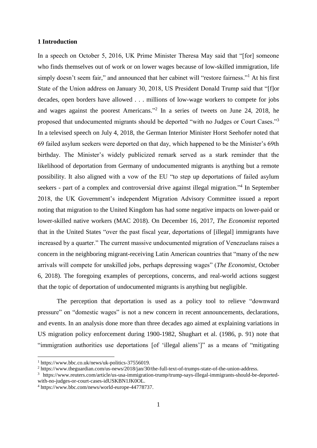### **1 Introduction**

In a speech on October 5, 2016, UK Prime Minister Theresa May said that "[for] someone who finds themselves out of work or on lower wages because of low-skilled immigration, life simply doesn't seem fair," and announced that her cabinet will "restore fairness."<sup>1</sup> At his first State of the Union address on January 30, 2018, US President Donald Trump said that "[f]or decades, open borders have allowed . . . millions of low-wage workers to compete for jobs and wages against the poorest Americans." 2 In a series of tweets on June 24, 2018, he proposed that undocumented migrants should be deported "with no Judges or Court Cases."<sup>3</sup> In a televised speech on July 4, 2018, the German Interior Minister Horst Seehofer noted that 69 failed asylum seekers were deported on that day, which happened to be the Minister's 69th birthday. The Minister's widely publicized remark served as a stark reminder that the likelihood of deportation from Germany of undocumented migrants is anything but a remote possibility. It also aligned with a vow of the EU "to step up deportations of failed asylum seekers - part of a complex and controversial drive against illegal migration."<sup>4</sup> In September 2018, the UK Government's independent Migration Advisory Committee issued a report noting that migration to the United Kingdom has had some negative impacts on lower-paid or lower-skilled native workers (MAC 2018). On December 16, 2017, *The Economist* reported that in the United States "over the past fiscal year, deportations of [illegal] immigrants have increased by a quarter." The current massive undocumented migration of Venezuelans raises a concern in the neighboring migrant-receiving Latin American countries that "many of the new arrivals will compete for unskilled jobs, perhaps depressing wages" (*The Economist*, October 6, 2018). The foregoing examples of perceptions, concerns, and real-world actions suggest that the topic of deportation of undocumented migrants is anything but negligible.

The perception that deportation is used as a policy tool to relieve "downward pressure" on "domestic wages" is not a new concern in recent announcements, declarations, and events. In an analysis done more than three decades ago aimed at explaining variations in US migration policy enforcement during 1900-1982, Shughart et al. (1986, p. 91) note that "immigration authorities use deportations [of 'illegal aliens']" as a means of "mitigating

1

<sup>1</sup> https://www.bbc.co.uk/news/uk-politics-37556019.

<sup>2</sup> https://www.theguardian.com/us-news/2018/jan/30/the-full-text-of-trumps-state-of-the-union-address.

<sup>3</sup> https://www.reuters.com/article/us-usa-immigration-trump/trump-says-illegal-immigrants-should-be-deportedwith-no-judges-or-court-cases-idUSKBN1JK0OL.

<sup>4</sup> https://www.bbc.com/news/world-europe-44778737.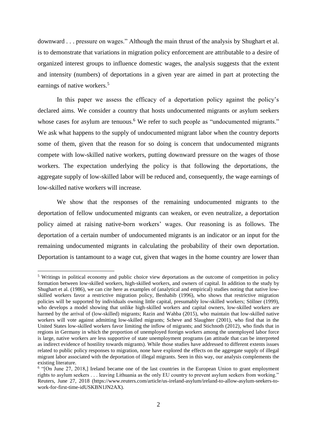downward . . . pressure on wages." Although the main thrust of the analysis by Shughart et al. is to demonstrate that variations in migration policy enforcement are attributable to a desire of organized interest groups to influence domestic wages, the analysis suggests that the extent and intensity (numbers) of deportations in a given year are aimed in part at protecting the earnings of native workers.<sup>5</sup>

In this paper we assess the efficacy of a deportation policy against the policy's declared aims. We consider a country that hosts undocumented migrants or asylum seekers whose cases for asylum are tenuous.<sup>6</sup> We refer to such people as "undocumented migrants." We ask what happens to the supply of undocumented migrant labor when the country deports some of them, given that the reason for so doing is concern that undocumented migrants compete with low-skilled native workers, putting downward pressure on the wages of those workers. The expectation underlying the policy is that following the deportations, the aggregate supply of low-skilled labor will be reduced and, consequently, the wage earnings of low-skilled native workers will increase.

We show that the responses of the remaining undocumented migrants to the deportation of fellow undocumented migrants can weaken, or even neutralize, a deportation policy aimed at raising native-born workers' wages. Our reasoning is as follows. The deportation of a certain number of undocumented migrants is an indicator or an input for the remaining undocumented migrants in calculating the probability of their own deportation. Deportation is tantamount to a wage cut, given that wages in the home country are lower than

<u>.</u>

<sup>&</sup>lt;sup>5</sup> Writings in political economy and public choice view deportations as the outcome of competition in policy formation between low-skilled workers, high-skilled workers, and owners of capital. In addition to the study by Shughart et al. (1986), we can cite here as examples of (analytical and empirical) studies noting that native lowskilled workers favor a restrictive migration policy, Benhabib (1996), who shows that restrictive migration policies will be supported by individuals owning little capital, presumably low-skilled workers; Söllner (1999), who develops a model showing that unlike high-skilled workers and capital owners, low-skilled workers are harmed by the arrival of (low-skilled) migrants; Razin and Wahba (2015), who maintain that low-skilled native workers will vote against admitting low-skilled migrants; Scheve and Slaughter (2001), who find that in the United States low-skilled workers favor limiting the inflow of migrants; and Stichnoth (2012), who finds that in regions in Germany in which the proportion of unemployed foreign workers among the unemployed labor force is large, native workers are less supportive of state unemployment programs (an attitude that can be interpreted as indirect evidence of hostility towards migrants). While those studies have addressed to different extents issues related to public policy responses to migration, none have explored the effects on the aggregate supply of illegal migrant labor associated with the deportation of illegal migrants. Seen in this way, our analysis complements the existing literature.

<sup>&</sup>lt;sup>6</sup> "[On June 27, 2018,] Ireland became one of the last countries in the European Union to grant employment rights to asylum seekers . . . leaving Lithuania as the only EU country to prevent asylum seekers from working." Reuters, June 27, 2018 (https://www.reuters.com/article/us-ireland-asylum/ireland-to-allow-asylum-seekers-towork-for-first-time-idUSKBN1JN2AX).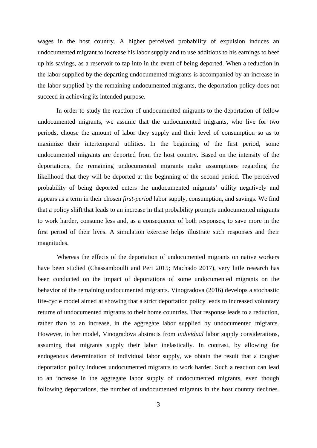wages in the host country. A higher perceived probability of expulsion induces an undocumented migrant to increase his labor supply and to use additions to his earnings to beef up his savings, as a reservoir to tap into in the event of being deported. When a reduction in the labor supplied by the departing undocumented migrants is accompanied by an increase in the labor supplied by the remaining undocumented migrants, the deportation policy does not succeed in achieving its intended purpose.

In order to study the reaction of undocumented migrants to the deportation of fellow undocumented migrants, we assume that the undocumented migrants, who live for two periods, choose the amount of labor they supply and their level of consumption so as to maximize their intertemporal utilities. In the beginning of the first period, some undocumented migrants are deported from the host country. Based on the intensity of the deportations, the remaining undocumented migrants make assumptions regarding the likelihood that they will be deported at the beginning of the second period. The perceived probability of being deported enters the undocumented migrants' utility negatively and appears as a term in their chosen *first-period* labor supply, consumption, and savings. We find that a policy shift that leads to an increase in that probability prompts undocumented migrants to work harder, consume less and, as a consequence of both responses, to save more in the first period of their lives. A simulation exercise helps illustrate such responses and their magnitudes.

Whereas the effects of the deportation of undocumented migrants on native workers have been studied (Chassamboulli and Peri 2015; Machado 2017), very little research has been conducted on the impact of deportations of some undocumented migrants on the behavior of the remaining undocumented migrants. Vinogradova (2016) develops a stochastic life-cycle model aimed at showing that a strict deportation policy leads to increased voluntary returns of undocumented migrants to their home countries. That response leads to a reduction, rather than to an increase, in the aggregate labor supplied by undocumented migrants. However, in her model, Vinogradova abstracts from *individual* labor supply considerations, assuming that migrants supply their labor inelastically. In contrast, by allowing for endogenous determination of individual labor supply, we obtain the result that a tougher deportation policy induces undocumented migrants to work harder. Such a reaction can lead to an increase in the aggregate labor supply of undocumented migrants, even though following deportations, the number of undocumented migrants in the host country declines.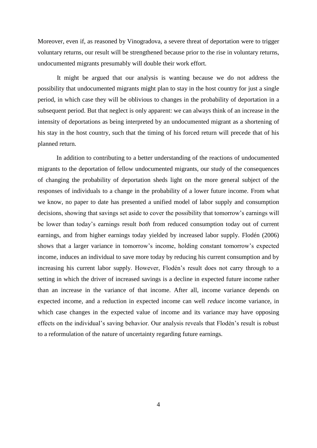Moreover, even if, as reasoned by Vinogradova, a severe threat of deportation were to trigger voluntary returns, our result will be strengthened because prior to the rise in voluntary returns, undocumented migrants presumably will double their work effort.

It might be argued that our analysis is wanting because we do not address the possibility that undocumented migrants might plan to stay in the host country for just a single period, in which case they will be oblivious to changes in the probability of deportation in a subsequent period. But that neglect is only apparent: we can always think of an increase in the intensity of deportations as being interpreted by an undocumented migrant as a shortening of his stay in the host country, such that the timing of his forced return will precede that of his planned return.

In addition to contributing to a better understanding of the reactions of undocumented migrants to the deportation of fellow undocumented migrants, our study of the consequences of changing the probability of deportation sheds light on the more general subject of the responses of individuals to a change in the probability of a lower future income. From what we know, no paper to date has presented a unified model of labor supply and consumption decisions, showing that savings set aside to cover the possibility that tomorrow's earnings will be lower than today's earnings result *both* from reduced consumption today out of current earnings, and from higher earnings today yielded by increased labor supply. Flodén (2006) shows that a larger variance in tomorrow's income, holding constant tomorrow's expected income, induces an individual to save more today by reducing his current consumption and by increasing his current labor supply. However, Flodén's result does not carry through to a setting in which the driver of increased savings is a decline in expected future income rather than an increase in the variance of that income. After all, income variance depends on expected income, and a reduction in expected income can well *reduce* income variance, in which case changes in the expected value of income and its variance may have opposing effects on the individual's saving behavior. Our analysis reveals that Flodén's result is robust to a reformulation of the nature of uncertainty regarding future earnings.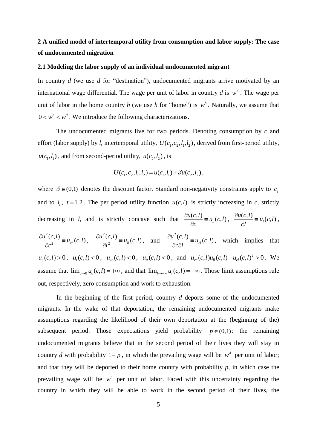# **2 A unified model of intertemporal utility from consumption and labor supply: The case of undocumented migration**

#### **2.1 Modeling the labor supply of an individual undocumented migrant**

In country *d* (we use *d* for "destination"), undocumented migrants arrive motivated by an international wage differential. The wage per unit of labor in country *d* is  $w<sup>d</sup>$ . The wage per unit of labor in the home country *h* (we use *h* for "home") is  $w<sup>h</sup>$ . Naturally, we assume that  $0 < w<sup>h</sup> < w<sup>d</sup>$ . We introduce the following characterizations.

The undocumented migrants live for two periods. Denoting consumption by *c* and effort (labor supply) by *l*, intertemporal utility,  $U(c_1, c_2, l_1, l_2)$ , derived from first-period utility,  $u(c_1, l_1)$ , and from second-period utility,  $u(c_2, l_2)$ , is

$$
U(c_1, c_2, l_1, l_2) = u(c_1, l_1) + \delta u(c_2, l_2),
$$

where  $\delta \in (0,1)$  denotes the discount factor. Standard non-negativity constraints apply to  $c_i$ and to  $l_i$ ,  $t = 1, 2$ . The per period utility function  $u(c, l)$  is strictly increasing in *c*, strictly decreasing in *l*, and is strictly concave such that  $\frac{\partial u(c, l)}{\partial x} = u_c(c, l)$ *c*  $\frac{\partial u(c,l)}{\partial t}$  =  $\partial$  $\frac{\partial u(c,l)}{\partial l} \equiv u_l(c,l)$ *l*  $\frac{\partial u(c,l)}{\partial c}$  =  $\hat{c}$ , 2  $\frac{u^2(c,l)}{a a^2} \equiv u_{cc}(c,l)$ *c*  $\frac{\partial u^2(c,l)}{dt} \equiv$  $\partial$ , 2  $\frac{u^2(c,l)}{2l^2} \equiv u_u(c,l)$ *l*  $\frac{\partial u^2(c,l)}{dt} \equiv$  $\partial$ , and  $\frac{u^2(c,l)}{2l^2} \equiv u_{cl}(c,l)$  $c$  $\partial l$  $\frac{\partial u^2(c,l)}{\partial c \partial l} = u_{cl}(c,l)$ , which implies that  $u_c(c,l) > 0$ ,  $u_l(c,l) < 0$ ,  $u_{cc}(c,l) < 0$ ,  $u_{ll}(c,l) < 0$ , and  $u_{cc}(c,l)u_{ll}(c,l) - u_{cl}(c,l)^2$  $u_{cc}(c, l)u_{ll}(c, l) - u_{cl}(c, l)^2 > 0$ . We assume that  $\lim_{c\to 0} u_c(c,l) = +\infty$ , and that  $\lim_{l\to+\infty} u_l(c,l) = -\infty$ . Those limit assumptions rule out, respectively, zero consumption and work to exhaustion.

In the beginning of the first period, country *d* deports some of the undocumented migrants. In the wake of that deportation, the remaining undocumented migrants make assumptions regarding the likelihood of their own deportation at the (beginning of the) subsequent period. Those expectations yield probability  $p \in (0,1)$ : the remaining undocumented migrants believe that in the second period of their lives they will stay in country *d* with probability  $1-p$ , in which the prevailing wage will be  $w^d$  per unit of labor; and that they will be deported to their home country with probability *p*, in which case the prevailing wage will be  $w^h$  per unit of labor. Faced with this uncertainty regarding the country in which they will be able to work in the second period of their lives, the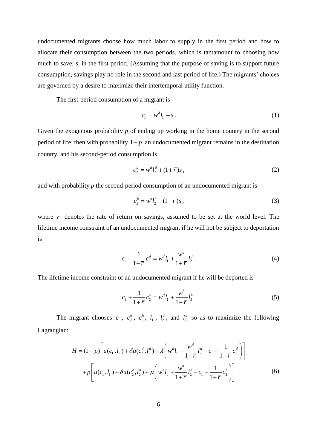undocumented migrants choose how much labor to supply in the first period and how to allocate their consumption between the two periods, which is tantamount to choosing how much to save, *s*, in the first period. (Assuming that the purpose of saving is to support future consumption, savings play no role in the second and last period of life.) The migrants' choices are governed by a desire to maximize their intertemporal utility function.

The first-period consumption of a migrant is

$$
c_1 = w^d l_1 - s. \tag{1}
$$

Given the exogenous probability *p* of ending up working in the home country in the second period of life, then with probability  $1-p$  an undocumented migrant remains in the destination country, and his second-period consumption is

$$
c_2^d = w^d l_2^d + (1 + \overline{r})s \,, \tag{2}
$$

and with probability *p* the second-period consumption of an undocumented migrant is

$$
c_2^h = w^h l_2^h + (1 + \overline{r})s \,, \tag{3}
$$

where  $\bar{r}$  denotes the rate of return on savings, assumed to be set at the world level. The lifetime income constraint of an undocumented migrant if he will not be subject to deportation is

$$
c_1 + \frac{1}{1+\overline{r}} c_2^d = w^d l_1 + \frac{w^d}{1+\overline{r}} l_2^d.
$$
 (4)

The lifetime income constraint of an undocumented migrant if he will be deported is

$$
c_1 + \frac{1}{1+\overline{r}} c_2^h = w^d l_1 + \frac{w^h}{1+\overline{r}} l_2^h.
$$
 (5)

The migrant chooses  $c_1$ ,  $c_2^{\alpha}$  $c_2^d$  ,  $c_2^h$  $c_2^h$ ,  $l_1$ ,  $l_2^a$  $l_2^d$ , and  $l_2^h$  $l_2^h$  so as to maximize the following Lagrangian:

$$
H = (1-p)\left[u(c_1, l_1) + \delta u(c_2^d, l_2^d) + \lambda \left(w^d l_1 + \frac{w^d}{1+\overline{r}}l_2^d - c_1 - \frac{1}{1+\overline{r}}c_2^d\right)\right] + p\left[u(c_1, l_1) + \delta u(c_2^h, l_2^h) + \mu \left(w^d l_1 + \frac{w^h}{1+\overline{r}}l_2^h - c_1 - \frac{1}{1+\overline{r}}c_2^h\right)\right]
$$
(6)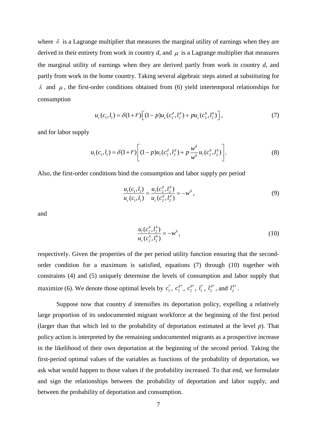where  $\lambda$  is a Lagrange multiplier that measures the marginal utility of earnings when they are derived in their entirety from work in country  $d$ , and  $\mu$  is a Lagrange multiplier that measures the marginal utility of earnings when they are derived partly from work in country *d*, and partly from work in the home country. Taking several algebraic steps aimed at substituting for  $\lambda$  and  $\mu$ , the first-order conditions obtained from (6) yield intertemporal relationships for consumption

$$
u_c(c_1, l_1) = \delta(1+\bar{r}) \Big[ (1-p)u_c(c_2^d, l_2^d) + pu_c(c_2^h, l_2^h) \Big],
$$
\n(7)

and for labor supply

$$
u_{l}(c_{1}, l_{1}) = \delta(1+\overline{r}) \left[ (1-p)u_{l}(c_{2}^{d}, l_{2}^{d}) + p \frac{w^{d}}{w^{h}} u_{l}(c_{2}^{h}, l_{2}^{h}) \right].
$$
\n(8)

Also, the first-order conditions bind the consumption and labor supply per period

$$
\frac{u_i(c_1, l_1)}{u_c(c_1, l_1)} = \frac{u_i(c_2^d, l_2^d)}{u_c(c_2^d, l_2^d)} = -w^d,
$$
\n(9)

and

$$
\frac{u_1(c_2^h, l_2^h)}{u_c(c_2^h, l_2^h)} = -w^h,
$$
\n(10)

respectively. Given the properties of the per period utility function ensuring that the secondorder condition for a maximum is satisfied, equations (7) through (10) together with constraints (4) and (5) uniquely determine the levels of consumption and labor supply that maximize (6). We denote those optimal levels by  $c_1^*$  $c_1^*, c_2^{d*}$ 2  $c_2^{d^*}, c_2^{h^*}$ 2  $c_2^{h^*}, l_1^*$  $l_1^*, l_2^{d^*}$ 2  $l_2^{d*}$ , and  $l_2^{h*}$ 2  $l_2^{h^*}$ .

Suppose now that country *d* intensifies its deportation policy, expelling a relatively large proportion of its undocumented migrant workforce at the beginning of the first period (larger than that which led to the probability of deportation estimated at the level *p*). That policy action is interpreted by the remaining undocumented migrants as a prospective increase in the likelihood of their own deportation at the beginning of the second period. Taking the first-period optimal values of the variables as functions of the probability of deportation, we ask what would happen to those values if the probability increased. To that end, we formulate and sign the relationships between the probability of deportation and labor supply, and between the probability of deportation and consumption.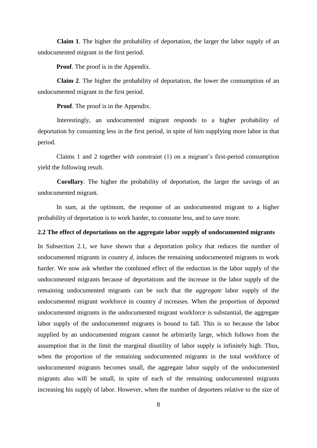**Claim 1**. The higher the probability of deportation, the larger the labor supply of an undocumented migrant in the first period.

**Proof**. The proof is in the Appendix.

**Claim 2**. The higher the probability of deportation, the lower the consumption of an undocumented migrant in the first period.

**Proof**. The proof is in the Appendix.

Interestingly, an undocumented migrant responds to a higher probability of deportation by consuming less in the first period, in spite of him supplying more labor in that period.

Claims 1 and 2 together with constraint (1) on a migrant's first-period consumption yield the following result.

**Corollary**. The higher the probability of deportation, the larger the savings of an undocumented migrant.

In sum, at the optimum, the response of an undocumented migrant to a higher probability of deportation is to work harder, to consume less, and to save more.

## **2.2 The effect of deportations on the aggregate labor supply of undocumented migrants**

In Subsection 2.1, we have shown that a deportation policy that reduces the number of undocumented migrants in country *d*, induces the remaining undocumented migrants to work harder. We now ask whether the combined effect of the reduction in the labor supply of the undocumented migrants because of deportations and the increase in the labor supply of the remaining undocumented migrants can be such that the *aggregate* labor supply of the undocumented migrant workforce in country *d* increases. When the proportion of deported undocumented migrants in the undocumented migrant workforce is substantial, the aggregate labor supply of the undocumented migrants is bound to fall. This is so because the labor supplied by an undocumented migrant cannot be arbitrarily large, which follows from the assumption that in the limit the marginal disutility of labor supply is infinitely high. Thus, when the proportion of the remaining undocumented migrants in the total workforce of undocumented migrants becomes small, the aggregate labor supply of the undocumented migrants also will be small, in spite of each of the remaining undocumented migrants increasing his supply of labor. However, when the number of deportees relative to the size of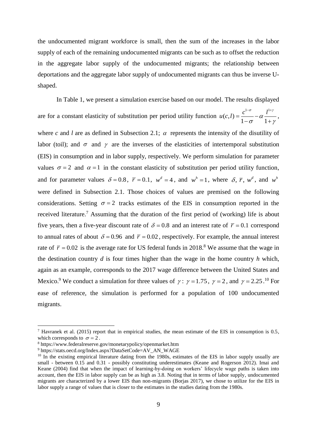the undocumented migrant workforce is small, then the sum of the increases in the labor supply of each of the remaining undocumented migrants can be such as to offset the reduction in the aggregate labor supply of the undocumented migrants; the relationship between deportations and the aggregate labor supply of undocumented migrants can thus be inverse Ushaped.

In Table 1, we present a simulation exercise based on our model. The results displayed are for a constant elasticity of substitution per period utility function  $(c, l) = \frac{c^{1-\sigma}}{1-\sigma} - \alpha \frac{l^{1-\sigma}}{1-\sigma}$  $\frac{\overline{1-\sigma}}{1-\sigma}$  -  $\alpha$  $u(c, l) = \frac{c^{1-\sigma}}{1-\sigma} - \alpha \frac{l^{1+\gamma}}{1-\sigma}$  $\frac{\overline{a}}{\sigma}$   $\frac{\overline{a}}{1+\gamma}$ ,  $=\frac{c^{1-\sigma}}{1-\alpha}$  $\frac{\overline{\phantom{m}}}{-\sigma}$  -  $\alpha \frac{\overline{\phantom{m}}}{1+\gamma}$ , where c and *l* are as defined in Subsection 2.1;  $\alpha$  represents the intensity of the disutility of labor (toil); and  $\sigma$  and  $\gamma$  are the inverses of the elasticities of intertemporal substitution (EIS) in consumption and in labor supply, respectively. We perform simulation for parameter values  $\sigma = 2$  and  $\alpha = 1$  in the constant elasticity of substitution per period utility function, and for parameter values  $\delta = 0.8$ ,  $\bar{r} = 0.1$ ,  $w^d = 4$ , and  $w^h = 1$ , where  $\delta$ ,  $\bar{r}$ ,  $w^d$ , and  $w^h$ were defined in Subsection 2.1. Those choices of values are premised on the following considerations. Setting  $\sigma = 2$  tracks estimates of the EIS in consumption reported in the received literature.<sup>7</sup> Assuming that the duration of the first period of (working) life is about five years, then a five-year discount rate of  $\delta = 0.8$  and an interest rate of  $\bar{r} = 0.1$  correspond to annual rates of about  $\delta = 0.96$  and  $\bar{r} = 0.02$ , respectively. For example, the annual interest rate of  $\bar{r} = 0.02$  is the average rate for US federal funds in 2018.<sup>8</sup> We assume that the wage in the destination country *d* is four times higher than the wage in the home country *h* which, again as an example, corresponds to the 2017 wage difference between the United States and Mexico.<sup>9</sup> We conduct a simulation for three values of  $\gamma$ :  $\gamma = 1.75$ ,  $\gamma = 2$ , and  $\gamma = 2.25$ .<sup>10</sup> For ease of reference, the simulation is performed for a population of 100 undocumented migrants.

<u>.</u>

<sup>&</sup>lt;sup>7</sup> Havranek et al. (2015) report that in empirical studies, the mean estimate of the EIS in consumption is 0.5, which corresponds to  $\sigma = 2$ .

<sup>8</sup> https://www.federalreserve.gov/monetarypolicy/openmarket.htm

<sup>9</sup> https://stats.oecd.org/Index.aspx?DataSetCode=AV\_AN\_WAGE

<sup>&</sup>lt;sup>10</sup> In the existing empirical literature dating from the 1980s, estimates of the EIS in labor supply usually are small - between 0.15 and 0.31 - possibly constituting underestimates (Keane and Rogerson 2012). Imai and Keane (2004) find that when the impact of learning-by-doing on workers' lifecycle wage paths is taken into account, then the EIS in labor supply can be as high as 3.8. Noting that in terms of labor supply, undocumented migrants are characterized by a lower EIS than non-migrants (Borjas 2017), we chose to utilize for the EIS in labor supply a range of values that is closer to the estimates in the studies dating from the 1980s.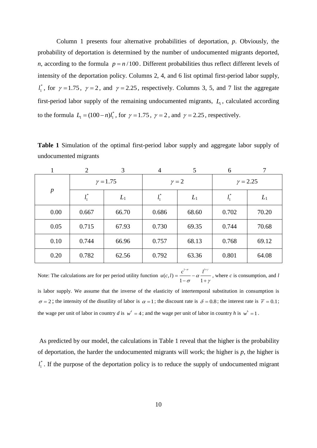Column 1 presents four alternative probabilities of deportation, *p*. Obviously, the probability of deportation is determined by the number of undocumented migrants deported, *n*, according to the formula  $p = n/100$ . Different probabilities thus reflect different levels of intensity of the deportation policy. Columns 2, 4, and 6 list optimal first-period labor supply, \*  $l_1^*$ , for  $\gamma = 1.75$ ,  $\gamma = 2$ , and  $\gamma = 2.25$ , respectively. Columns 3, 5, and 7 list the aggregate first-period labor supply of the remaining undocumented migrants,  $L<sub>1</sub>$ , calculated according to the formula  $L_1 = (100 - n)l_1^*$ , for  $\gamma = 1.75$ ,  $\gamma = 2$ , and  $\gamma = 2.25$ , respectively.

**Table 1** Simulation of the optimal first-period labor supply and aggregate labor supply of undocumented migrants

|                  | $\overline{2}$  | 3     | 4            | 5     | 6               | 7     |
|------------------|-----------------|-------|--------------|-------|-----------------|-------|
| $\boldsymbol{p}$ | $\gamma = 1.75$ |       | $\gamma = 2$ |       | $\gamma = 2.25$ |       |
|                  | $l_1^*$         | $L_1$ | $l_1^*$      | $L_1$ | $l_1^*$         | $L_1$ |
| 0.00             | 0.667           | 66.70 | 0.686        | 68.60 | 0.702           | 70.20 |
| 0.05             | 0.715           | 67.93 | 0.730        | 69.35 | 0.744           | 70.68 |
| 0.10             | 0.744           | 66.96 | 0.757        | 68.13 | 0.768           | 69.12 |
| 0.20             | 0.782           | 62.56 | 0.792        | 63.36 | 0.801           | 64.08 |

Note: The calculations are for per period utility function  $(c, l) = \frac{c^{1-\sigma}}{1-\sigma} - \alpha \frac{l^{1-\sigma}}{1-\sigma}$  $1-\sigma$   $\alpha$  $u(c, l) = \frac{c^{1-\sigma}}{l} - \alpha \frac{l^{1+\gamma}}{l}$  $\frac{\overline{\phantom{0}}}{\sigma}$  -  $\alpha$   $\frac{\overline{\phantom{0}}}{1+\gamma}$ ,  $=\frac{c^{1-\sigma}}{1-\alpha} - \alpha \frac{l^{1+\gamma}}{1-\gamma}$  $\frac{\gamma}{\gamma - \sigma} - \alpha \frac{\gamma}{1 + \gamma}$ , where *c* is consumption, and *l* 

is labor supply. We assume that the inverse of the elasticity of intertemporal substitution in consumption is  $\sigma = 2$ ; the intensity of the disutility of labor is  $\alpha = 1$ ; the discount rate is  $\delta = 0.8$ ; the interest rate is  $\bar{r} = 0.1$ ; the wage per unit of labor in country *d* is  $w^d = 4$ ; and the wage per unit of labor in country *h* is  $w^h = 1$ .

As predicted by our model, the calculations in Table 1 reveal that the higher is the probability of deportation, the harder the undocumented migrants will work; the higher is *p*, the higher is \*  $l_1^*$ . If the purpose of the deportation policy is to reduce the supply of undocumented migrant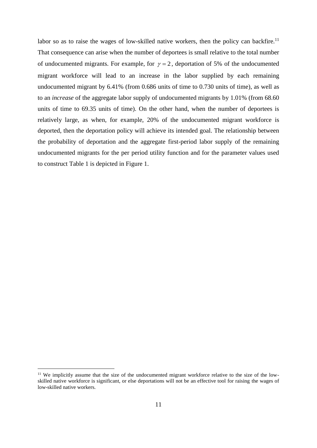labor so as to raise the wages of low-skilled native workers, then the policy can backfire.<sup>11</sup> That consequence can arise when the number of deportees is small relative to the total number of undocumented migrants. For example, for  $\gamma = 2$ , deportation of 5% of the undocumented migrant workforce will lead to an increase in the labor supplied by each remaining undocumented migrant by 6.41% (from 0.686 units of time to 0.730 units of time), as well as to an *increase* of the aggregate labor supply of undocumented migrants by 1.01% (from 68.60 units of time to 69.35 units of time). On the other hand, when the number of deportees is relatively large, as when, for example, 20% of the undocumented migrant workforce is deported, then the deportation policy will achieve its intended goal. The relationship between the probability of deportation and the aggregate first-period labor supply of the remaining undocumented migrants for the per period utility function and for the parameter values used to construct Table 1 is depicted in Figure 1.

1

 $11$  We implicitly assume that the size of the undocumented migrant workforce relative to the size of the lowskilled native workforce is significant, or else deportations will not be an effective tool for raising the wages of low-skilled native workers.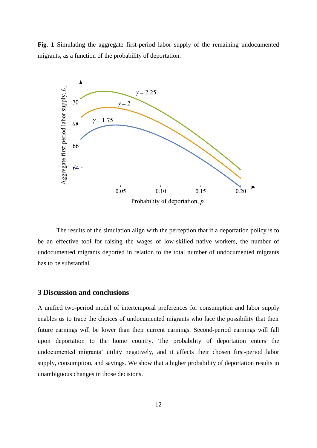**Fig. 1** Simulating the aggregate first-period labor supply of the remaining undocumented migrants, as a function of the probability of deportation.



The results of the simulation align with the perception that if a deportation policy is to be an effective tool for raising the wages of low-skilled native workers, the number of undocumented migrants deported in relation to the total number of undocumented migrants has to be substantial.

# **3 Discussion and conclusions**

A unified two-period model of intertemporal preferences for consumption and labor supply enables us to trace the choices of undocumented migrants who face the possibility that their future earnings will be lower than their current earnings. Second-period earnings will fall upon deportation to the home country. The probability of deportation enters the undocumented migrants' utility negatively, and it affects their chosen first-period labor supply, consumption, and savings. We show that a higher probability of deportation results in unambiguous changes in those decisions.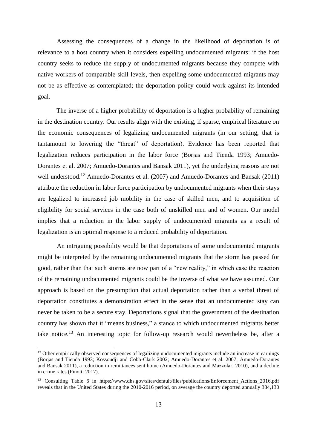Assessing the consequences of a change in the likelihood of deportation is of relevance to a host country when it considers expelling undocumented migrants: if the host country seeks to reduce the supply of undocumented migrants because they compete with native workers of comparable skill levels, then expelling some undocumented migrants may not be as effective as contemplated; the deportation policy could work against its intended goal.

The inverse of a higher probability of deportation is a higher probability of remaining in the destination country. Our results align with the existing, if sparse, empirical literature on the economic consequences of legalizing undocumented migrants (in our setting, that is tantamount to lowering the "threat" of deportation). Evidence has been reported that legalization reduces participation in the labor force (Borjas and Tienda 1993; Amuedo-Dorantes et al. 2007; Amuedo-Dorantes and Bansak 2011), yet the underlying reasons are not well understood.<sup>12</sup> Amuedo-Dorantes et al. (2007) and Amuedo-Dorantes and Bansak (2011) attribute the reduction in labor force participation by undocumented migrants when their stays are legalized to increased job mobility in the case of skilled men, and to acquisition of eligibility for social services in the case both of unskilled men and of women. Our model implies that a reduction in the labor supply of undocumented migrants as a result of legalization is an optimal response to a reduced probability of deportation.

An intriguing possibility would be that deportations of some undocumented migrants might be interpreted by the remaining undocumented migrants that the storm has passed for good, rather than that such storms are now part of a "new reality," in which case the reaction of the remaining undocumented migrants could be the inverse of what we have assumed. Our approach is based on the presumption that actual deportation rather than a verbal threat of deportation constitutes a demonstration effect in the sense that an undocumented stay can never be taken to be a secure stay. Deportations signal that the government of the destination country has shown that it "means business," a stance to which undocumented migrants better take notice.<sup>13</sup> An interesting topic for follow-up research would nevertheless be, after a

<u>.</u>

<sup>&</sup>lt;sup>12</sup> Other empirically observed consequences of legalizing undocumented migrants include an increase in earnings (Borjas and Tienda 1993; Kossoudji and Cobb-Clark 2002; Amuedo-Dorantes et al. 2007; Amuedo-Dorantes and Bansak 2011), a reduction in remittances sent home (Amuedo-Dorantes and Mazzolari 2010), and a decline in crime rates (Pinotti 2017).

<sup>13</sup> Consulting Table 6 in https://www.dhs.gov/sites/default/files/publications/Enforcement\_Actions\_2016.pdf reveals that in the United States during the 2010-2016 period, on average the country deported annually 384,130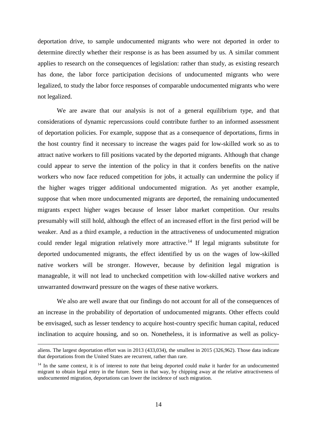deportation drive, to sample undocumented migrants who were not deported in order to determine directly whether their response is as has been assumed by us. A similar comment applies to research on the consequences of legislation: rather than study, as existing research has done, the labor force participation decisions of undocumented migrants who were legalized, to study the labor force responses of comparable undocumented migrants who were not legalized.

We are aware that our analysis is not of a general equilibrium type, and that considerations of dynamic repercussions could contribute further to an informed assessment of deportation policies. For example, suppose that as a consequence of deportations, firms in the host country find it necessary to increase the wages paid for low-skilled work so as to attract native workers to fill positions vacated by the deported migrants. Although that change could appear to serve the intention of the policy in that it confers benefits on the native workers who now face reduced competition for jobs, it actually can undermine the policy if the higher wages trigger additional undocumented migration. As yet another example, suppose that when more undocumented migrants are deported, the remaining undocumented migrants expect higher wages because of lesser labor market competition. Our results presumably will still hold, although the effect of an increased effort in the first period will be weaker. And as a third example, a reduction in the attractiveness of undocumented migration could render legal migration relatively more attractive.<sup>14</sup> If legal migrants substitute for deported undocumented migrants, the effect identified by us on the wages of low-skilled native workers will be stronger. However, because by definition legal migration is manageable, it will not lead to unchecked competition with low-skilled native workers and unwarranted downward pressure on the wages of these native workers.

We also are well aware that our findings do not account for all of the consequences of an increase in the probability of deportation of undocumented migrants. Other effects could be envisaged, such as lesser tendency to acquire host-country specific human capital, reduced inclination to acquire housing, and so on. Nonetheless, it is informative as well as policy-

aliens. The largest deportation effort was in 2013 (433,034), the smallest in 2015 (326,962). Those data indicate that deportations from the United States are recurrent, rather than rare.

<sup>&</sup>lt;sup>14</sup> In the same context, it is of interest to note that being deported could make it harder for an undocumented migrant to obtain legal entry in the future. Seen in that way, by chipping away at the relative attractiveness of undocumented migration, deportations can lower the incidence of such migration.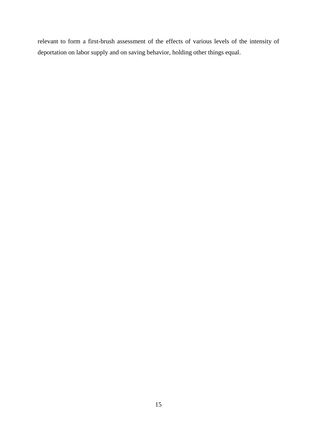relevant to form a first-brush assessment of the effects of various levels of the intensity of deportation on labor supply and on saving behavior, holding other things equal.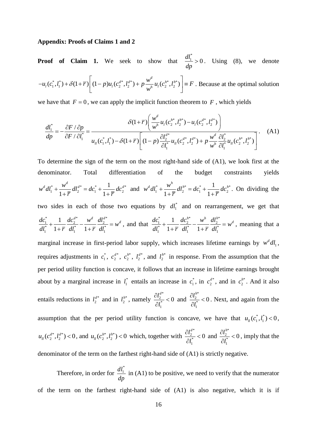#### **Appendix: Proofs of Claims 1 and 2**

**Proof of Claim 1.** We seek to show that \*  $\frac{dl_1^*}{1} > 0$ *dp*  $> 0$ . Using (8), we denote  $\mathcal{L}^*, l^* + \delta(1+\overline{r}) \left[ (1-p) u, (c^{d^*}, l^{d^*}) + p \frac{w^d}{w} u, (c^{h^*}, l^{h^*}) \right]$  $(c_1^*, l_1^*) + \delta(1+\overline{r}) \Bigg[ (1-p) u_1 (c_2^{d*}, l_2^{d*}) + p \frac{w^d}{w^h} u_1 (c_2^{h*}, l_2^{h*})$ *d*  $d^*$ ,  $l_a^{d^*}$ ) +  $p \frac{w^d}{\cdots}$   $u_i$  ( $c_i^{h^*}$ ,  $l_b^h$  $\frac{1}{2} (c_1^*, l_1^*) + \delta (1+\overline{r}) \left[ (1-p) u_1 (c_2^{d*}, l_2^{d*}) + p \frac{w^d}{w^h} u_1^d \right]$  $u_l(c_1^*, l_1^*) + \delta(1+\overline{r}) \left[ (1-p)u_l(c_2^{d*}, l_2^{d*}) + p \frac{w^d}{w^h} u_l(c_2^{h*}, l_2^{h*}) \right] \equiv F$ **Proot of Claim 1.** We seek to show that  $\frac{d}{dp} > 0$ .<br> $-u_i(c_1^*, l_1^*) + \delta(1+\overline{r}) \left[ (1-p)u_i(c_2^{d*}, l_2^{d*}) + p \frac{w^d}{w^h} u_i(c_2^{h*}, l_2^{h*}) \right] = F$ . Because L  $+\delta(1+\bar{r})\Big| (1-p)u_1(c_2^{d*},l_2^{d*})+p\frac{w}{\mu}u_1(c_2^{h*},l_2^{h*})\Big| \equiv$  $\frac{1}{2}$  $+p\frac{W}{\mu}u_1(c_2^{h*}, l_2^{h*})\neq F$ . Because at the optimal solution

we have that 
$$
F = 0
$$
, we can apply the implicit function theorem to  $F$ , which yields\n
$$
\frac{dI_1^*}{dp} = -\frac{\partial F / \partial p}{\partial F / \partial I_1^*} = \frac{\delta(1+\overline{r}) \left( \frac{w^d}{w^h} u_1(c_2^{h*}, l_2^{h*}) - u_1(c_2^{d*}, l_2^{d*}) \right)}{u_1(c_1^*, l_1^*) - \delta(1+\overline{r}) \left[ (1-p) \frac{\partial l_2^{d*}}{\partial l_1^*} u_1(c_2^{d*}, l_2^{d*}) + p \frac{w^d}{w^h} \frac{\partial l_2^*}{\partial l_1^*} u_1(c_2^{h*}, l_2^{h*}) \right]}.
$$
\n(A1)

To determine the sign of the term on the most right-hand side of (A1), we look first at the denominator. Total differentiation of the budget constraints yields  $u_1^* + \frac{w^d}{1} d l_2^{d*} = d c_1^* + \frac{1}{1} d c_2^{d*}$ \* 2  $-u_{1}$  $w^d d l_1^* + \frac{w^d}{1+\overline{r}} d l_2^{d*} = d c_1^* + \frac{1}{1+\overline{r}} d c_2^d$  $\frac{1}{r} dl_2^{d^*} = dc_1^* + \frac{1}{1 + r}$  $+\frac{w^d}{1+\overline{x}}dl_2^{d*}=dc_1^*+\frac{1}{1+\overline{x}}$  $rac{w^d}{1+\overline{r}}dl_2^{d*} = dc_1^* + \frac{1}{1+\overline{r}}dc_2^{d*}$  and  $w^ddl_1^* + \frac{w^h}{1+\overline{r}}dl_2^{h*} = dc_1^* + \frac{1}{1+\overline{r}}dc_2^{h*}$ \* 2 –  $u_{1}$  $w^d dI_1^* + \frac{w^h}{1+\overline{r}} dI_2^{h^*} = dc_1^* + \frac{1}{1+\overline{r}} dc_2^h$  $\frac{1}{r} dl_2^{h^*} = dc_1^* + \frac{1}{1+\bar{r}}$  $+\frac{w^h}{1+\overline{x}}dl_2^{h^*}=dc_1^*+\frac{1}{1+\overline{x}}$  $\frac{w^4}{1+r}dl_2^{h*} = dc_1^* + \frac{1}{1+r}dc_2^{h*}$ . On dividing the two sides in each of those two equations by  $dl_1^*$  and on rearrangement, we get that \*  $\frac{1}{*} + \frac{1}{1 + \overline{r}} \frac{ac_2}{dI^*} - \frac{w}{1 + \overline{r}} \frac{ac_2}{dI^*}$  $\int_{1}^{*} 1+\overline{r} dt_1$ \* 2 1 \*  $\frac{1}{1}$  +  $\frac{1}{1+\overline{r}}$   $\frac{dc_2^{d^*}}{dl_1^*}$  -  $\frac{w^d}{1+\overline{r}}$   $\frac{dl_2^d}{dl_1^*}$  $\frac{dc_1^*}{dl_1^*} + \frac{1}{1+\overline{r}} \frac{dc_2^{d*}}{dl_1^*} - \frac{w^d}{1+\overline{r}} \frac{dl_2^{d*}}{dl_1^*} = w^d$  $+\frac{1}{1+\overline{x}}\frac{dc_2^{d*}}{dt^*}-\frac{w^d}{1+\overline{x}}\frac{dl_2^{d*}}{dt^*}=w^d$ ,  $\frac{1}{1+\overline{r}}\frac{dc_2}{dl_1^*} - \frac{w}{1+\overline{r}}\frac{dl_2}{dl_1^*} = w^d$ , and that \*  $\frac{1}{*} + \frac{1}{1 + \overline{r}} \frac{ac_2}{dI^*} - \frac{w}{1 + \overline{r}} \frac{ac_2}{dI^*}$  $l_1^*$   $1+\bar{r}$  dl<sub>1</sub> \* 2 1 \*  $\frac{1}{1}$  +  $\frac{1}{1+\overline{r}}$   $\frac{dc_2^{h*}}{dl_1^*}$  -  $\frac{w^h}{1+\overline{r}}$   $\frac{dl_2^h}{dl_1^h}$  $\frac{dc_1^*}{dl_1^*} + \frac{1}{1+\overline{r}} \frac{dc_2^{h^*}}{dl_1^*} - \frac{w^h}{1+\overline{r}} \frac{dl_2^{h^*}}{dl_1^*} = w^d$  $+\frac{1}{1+\overline{x}}\frac{dc_2^{h^*}}{dt^*}-\frac{w^h}{1+\overline{x}}\frac{dl_2^{h^*}}{dt^*}=w^d$  $\frac{1}{1 + \overline{r}} \frac{dc_2}{d l_1^*} - \frac{w}{1 + \overline{r}} \frac{d l_2}{d l_1^*} = w^d$ , meaning that a marginal increase in first-period labor supply, which increases lifetime earnings by  $w^d d l_1$ , requires adjustments in  $c_1^*$  $c_1^*, c_2^{d^*}$ 2  $c_2^{d^*}, c_2^{h^*}$ 2  $c_2^{h^*}, l_2^{d^*}$ 2  $l_2^{d*}$ , and  $l_2^{h*}$ 2  $l_2^{h^*}$  in response. From the assumption that the per period utility function is concave, it follows that an increase in lifetime earnings brought

about by a marginal increase in  $l_1^*$  $l_1^*$  entails an increase in  $c_1^*$  $c_1^*$ , in  $c_2^{d*}$ 2  $c_2^{d^*}$ , and in  $c_2^{h^*}$ 2  $c_2^{h*}$ . And it also entails reductions in  $l_2^{d*}$ 2  $l_2^{d^*}$  and in  $l_2^{h^*}$ 2  $l_2^{h*}$ , namely \* 2  $\frac{1}{2}$  < 0 1  $l_2^d$ *l*  $\frac{\partial l_2^{d^*}}{\partial x^*}$  <  $\partial$ and \* 2 \* 1 0  $l_2^h$ *l*  $\frac{\partial l_2^{h*}}{\partial x^*}$  $\hat{o}$ . Next, and again from the assumption that the per period utility function is concave, we have that  $u_{\mu}(c_1^*, l_1^*)$  < 0,  $u_{ll}(c_2^{d*}, l_2^{d*})$  < 0, and  $u_{ll}(c_2^{h*}, l_2^{h*})$  < 0 which, together with \* 2 \* 1  $\boldsymbol{0}$  $l_2^d$ *l*  $\frac{\partial l_2^{d^*}}{\partial x^*}$  <  $\partial$ and \* 2 \* 1 0  $l_2^h$ *l*  $\frac{\partial l_{2}^{h*}}{\partial x^{*}}$  $\hat{o}$ , imply that the denominator of the term on the farthest right-hand side of (A1) is strictly negative.

Therefore, in order for \*  $dl_1^*$ *dp* in (A1) to be positive, we need to verify that the numerator of the term on the farthest right-hand side of (A1) is also negative, which it is if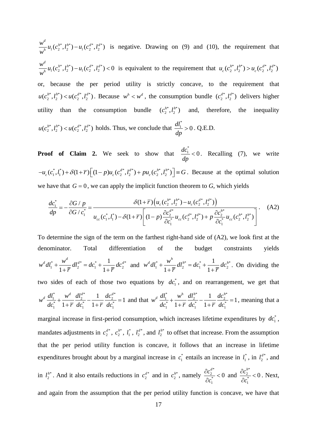$\frac{d}{dt}u_1(c_2^{h^*},l_2^{h^*})-u_1(c_2^{d^*},l_2^{d^*})$  $\frac{1}{h} u_l (c_2^n, l_2^n) - u_l$  $\frac{w^d}{w^h} u_l(c_2^{h*}, l_2^{h*}) - u_l(c_2^{d*}, l)$  $-u_1(c_2^{d*}, l_2^{d*})$  is negative. Drawing on (9) and (10), the requirement that  $\frac{d}{h}u_1(c_2^{h^*}, l_2^{h^*}) - u_1(c_2^{d^*}, l_2^{d^*}) < 0$  $\frac{1}{h} u_l(c_2^{n*}, l_2^{n*}) - u_l$  $\frac{w^d}{w^h} u_l(c_2^{h*}, l_2^{h*}) - u_l(c_2^{d*}, l_2^{d*}) < 0$  is equivalent to the requirement that  $u_c(c_2^{h*}, l_2^{h*}) > u_c(c_2^{d*}, l_2^{d*})$ or, because the per period utility is strictly concave, to the requirement that  $u(c_2^{l*}, l_2^{l*}) < u(c_2^{d*}, l_2^{d*})$ . Because  $w^h < w^d$ , the consumption bundle  $(c_2^{d*}, l_2^{d*})$  delivers higher utility than the consumption bundle  $(c_2^{h*}, l_2^{h*})$  and, therefore, the inequality  $u(c_2^{h*}, l_2^{h*}) < u(c_2^{d*}, l_2^{d*})$  holds. Thus, we conclude that \*  $\frac{dl_1^*}{1} > 0$ *dp*  $> 0. Q.E.D.$ 

**Proof of Claim 2.** We seek to show that \*  $\frac{dc_1^*}{2} < 0$ *dp*  $< 0$ . Recalling (7), we write  $(x^*,t^*) + \delta(1+\overline{r}) \left[ (1-p)u^{\alpha} (c^{d*},t^{d*}) + pu^{\alpha} (c^{h*},t^{h*}) \right]$ **10 1 2 2.** We seek to show that<br>  $(c_1^*, l_1^*) + \delta(1+\overline{r}) \Big[ (1-p) u_c (c_2^{d*}, l_2^{d*}) + p u_c (c_2^{h*}, l_2^{h*}) \Big]$  $d^*$ ,  $l_2^{d^*}$ ) + pu  $(c_2^{h^*}, l_2^h)$ **c** c<sub>1</sub>,  $l_1^*$  +  $\delta(1+\overline{r})\left[(1-p)u_c(c_2^{d*}, l_2^{d*}) + pu_c(c_2^{h*}, l_2^{h*})\right] \equiv G$ . Because at the optimal solution we have that  $G = 0$ , we can apply the implicit function theorem to *G*, which yields<br>  $dc^* = \frac{\partial G}{\partial T}$   $\delta(1+\overline{r})(u_c(c_2^{h*}, l_2^{h*}) - u_c(c_2^{d*}, l_2^{d*}))$ = 0, we can apply the implicit function theorem to G,<br>  $\frac{d}{dr}$  =  $\frac{\delta(1+\overline{r})(u_c(c_2^{h*}, l_2^{h*}) - u_c(c_2^{d*}, l_2^{d*}))}{\sqrt{r}}$ 

have that 
$$
G = 0
$$
, we can apply the implicit function theorem to  $G$ , which yields\n
$$
\frac{dc_1^*}{dp} = -\frac{\partial G/p}{\partial G/c_1^*} = \frac{\delta(1+\overline{r})\left(u_c(c_2^{h*}, l_2^{h*}) - u_c(c_2^{d*}, l_2^{d*})\right)}{u_{cc}(c_1^*, l_1^*) - \delta(1+\overline{r})\left[(1-p)\frac{\partial c_2^{d*}}{\partial c_1^*}u_{cc}(c_2^{d*}, l_2^{d*}) + p\frac{\partial c_2^{h*}}{\partial c_1^*}u_{cc}(c_2^{h*}, l_2^{h*})\right]}.
$$
\n(A2)

To determine the sign of the term on the farthest right-hand side of (A2), we look first at the denominator. Total differentiation of the budget constraints yields  $\frac{1}{1}^* + \frac{w^d}{1} dl_2^{d*} = dc_1^* + \frac{1}{1} \frac{dc_2^{d*}}{dt}$ \* 2  $-u_{1}$  $w^d d l_1^* + \frac{w^d}{1+\overline{r}} d l_2^{d*} = d c_1^* + \frac{1}{1+\overline{r}} d c_2^d$  $\frac{1}{r} dl_2^{d^*} = dc_1^* + \frac{1}{1+\overline{r}}$  $+\frac{w^d}{1+\overline{w}}dl_2^{d*}=dc_1^*+\frac{1}{1+\overline{z}}$  $\frac{w^d}{1+r}dl_2^{d*} = dc_1^* + \frac{1}{1+r}dc_2^{d*}$  and  $w^ddl_1^* + \frac{w^h}{1+r}dl_2^{h*} = dc_1^* + \frac{1}{1+r}dc_2^{h*}$ \* 2 –  $u_{1}$  $w^d dI_1^* + \frac{w^h}{1+\overline{r}} dI_2^{h^*} = dc_1^* + \frac{1}{1+\overline{r}} dc_2^h$  $\frac{1}{r} dl_2^{h^*} = dc_1^* + \frac{1}{1+\bar{r}}$  $+\frac{w^h}{1+\overline{u}}dl_2^{h^*}=dc_1^*+\frac{1}{1+\overline{u}}$  $\frac{w^2}{1+r}dl_2^{h*} = dc_1^* + \frac{1}{1+r}dc_2^{h*}$ . On dividing the two sides of each of those two equations by  $dc_1^*$  $dc_1^*$ , and on rearrangement, we get that \*  $w^d$   $dl^{d^*}$  1  $dc^{d^*}$  $d\frac{dl_1^*}{dt_2^*} + \frac{w^d}{1 + \overline{x}} \frac{dl_2^{d*}}{dt_2^*} - \frac{1}{1 + \overline{x}} \frac{dc_2^{d*}}{dt_2^*} = 1$  are \*  $w^h$   $dl^{h^*}$  1  $dc^{h^*}$  $d\frac{dl_1^*}{dt_2^*} + \frac{w^h}{1 + \overline{x}} \frac{dl_2^{h^*}}{dt_2^*} - \frac{1}{1 + \overline{x}} \frac{dc_2^{h^*}}{dt_2^*} = 1$ , n

$$
w^{d} \frac{dl_{1}^{*}}{dc_{1}^{*}} + \frac{w^{d}}{1+\overline{r}} \frac{dl_{2}^{d*}}{dc_{1}^{*}} - \frac{1}{1+\overline{r}} \frac{dc_{2}^{d*}}{dc_{1}^{*}} = 1
$$
 and that 
$$
w^{d} \frac{dl_{1}^{*}}{dc_{1}^{*}} + \frac{w^{h}}{1+\overline{r}} \frac{dl_{2}^{h*}}{dc_{1}^{*}} - \frac{1}{1+\overline{r}} \frac{dc_{2}^{h*}}{dc_{1}^{*}} = 1
$$
, meaning that a

marginal increase in first-period consumption, which increases lifetime expenditures by  $dc_1^*$  $dc_{1}^{\ast}$  , mandates adjustments in  $c_2^{d^*}$ 2  $c_2^{d^*}, c_2^{h^*}$ 2  $c_2^{h^*}, l_1^*$  $l_1^*, l_2^{d*}$ 2  $l_2^{d*}$ , and  $l_2^{h*}$ 2  $l_2^{h^*}$  to offset that increase. From the assumption that the per period utility function is concave, it follows that an increase in lifetime expenditures brought about by a marginal increase in  $c_1^*$  $c_1^*$  entails an increase in  $l_1^*$  $l_1^*$ , in  $l_2^{d*}$ 2  $l_2^{d*}$ , and

in  $l_2^{h*}$ 2  $l_2^{h^*}$ . And it also entails reductions in  $c_2^{d^*}$ 2  $c_2^{d^*}$  and in  $c_2^{h^*}$ 2  $c_2^{h*}$ , namely \* 2 \* 1 0  $c_2^d$ *c*  $\frac{\partial c_{2}^{d^{\ast}}}{\cdot}$  <  $\partial$ and \* 2 \* 1 0  $c_2^h$ *c*  $\frac{\partial c_{2}^{h^*}}{\cdot}$  <  $\hat{o}$ . Next,

and again from the assumption that the per period utility function is concave, we have that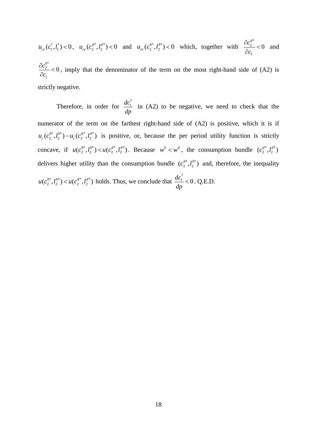$u_{cc}(c_1^*, l_1^*)$  < 0,  $u_{cc}(c_2^{d*}, l_2^{d*})$  < 0 and  $u_{cc}(c_2^{h*}, l_2^{h*})$  < 0 which, together with \* 2 1 0  $c_2^d$ *c*  $\frac{\partial c_{2}^{d^{\ast}}}{\cdot}$  <  $\partial$ and \* 2 1 0  $c_2^h$ *c*  $\frac{\partial c_2^{h^*}}{\partial t}$  $\partial$ , imply that the denominator of the term on the most right-hand side of (A2) is strictly negative.

Therefore, in order for \*  $dc_1^*$ *dp* in (A2) to be negative, we need to check that the numerator of the term on the farthest right-hand side of (A2) is positive, which it is if  $u_c(c_2^{h^*}, l_2^{h^*}) - u_c(c_2^{d^*}, l_2^{d^*})$  is positive, or, because the per period utility function is strictly concave, if  $u(c_2^{h*}, l_2^{h*}) < u(c_2^{d*}, l_2^{d*})$ . Because  $w^h < w^d$ , the consumption bundle  $(c_2^{d*}, l_2^{d*})$ delivers higher utility than the consumption bundle  $(c_2^{h*}, l_2^{h*})$  and, therefore, the inequality  $u(c_2^{h*}, l_2^{h*}) < u(c_2^{d*}, l_2^{d*})$  holds. Thus, we conclude that \*  $\frac{dc_1^*}{1} < 0$ *dp*  $< 0. Q.E.D.$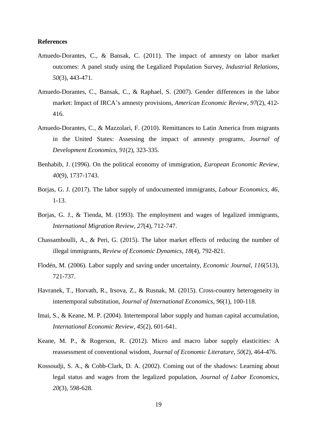### **References**

- Amuedo-Dorantes, C., & Bansak, C. (2011). The impact of amnesty on labor market outcomes: A panel study using the Legalized Population Survey, *Industrial Relations*, *50*(3), 443-471.
- Amuedo-Dorantes, C., Bansak, C., & Raphael, S. (2007). Gender differences in the labor market: Impact of IRCA's amnesty provisions, *American Economic Review*, *97*(2), 412- 416.
- Amuedo-Dorantes, C., & Mazzolari, F. (2010). Remittances to Latin America from migrants in the United States: Assessing the impact of amnesty programs, *Journal of Development Economics*, *91*(2), 323-335.
- Benhabib, J. (1996). On the political economy of immigration, *European Economic Review*, *40*(9), 1737-1743.
- Borjas, G. J. (2017). The labor supply of undocumented immigrants, *Labour Economics*, *46*, 1-13.
- Borjas, G. J., & Tienda, M. (1993). The employment and wages of legalized immigrants, *International Migration Review*, *27*(4), 712-747.
- Chassamboulli, A., & Peri, G. (2015). The labor market effects of reducing the number of illegal immigrants, *Review of Economic Dynamics*, *18*(4), 792-821.
- Flodén, M. (2006). Labor supply and saving under uncertainty, *Economic Journal*, *116*(513), 721-737.
- Havranek, T., Horvath, R., Irsova, Z., & Rusnak, M. (2015). Cross-country heterogeneity in intertemporal substitution, *Journal of International Economics*, *96*(1), 100-118.
- Imai, S., & Keane, M. P. (2004). Intertemporal labor supply and human capital accumulation, *International Economic Review*, *45*(2), 601-641.
- Keane, M. P., & Rogerson, R. (2012). Micro and macro labor supply elasticities: A reassessment of conventional wisdom, *Journal of Economic Literature*, *50*(2), 464-476.
- Kossoudji, S. A., & Cobb-Clark, D. A. (2002). Coming out of the shadows: Learning about legal status and wages from the legalized population, *Journal of Labor Economics*, *20*(3), 598-628.